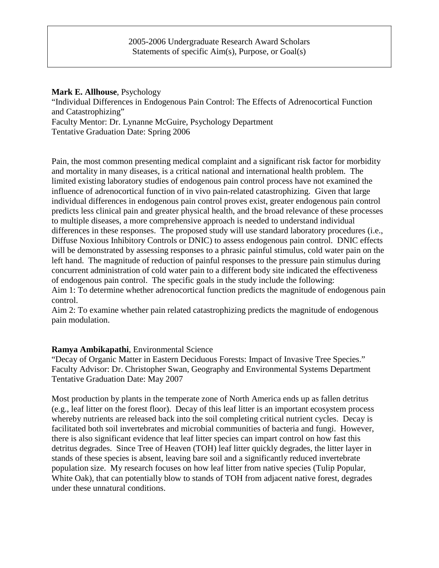# 2005-2006 Undergraduate Research Award Scholars Statements of specific Aim(s), Purpose, or Goal(s)

#### **Mark E. Allhouse**, Psychology

"Individual Differences in Endogenous Pain Control: The Effects of Adrenocortical Function and Catastrophizing"

Faculty Mentor: Dr. Lynanne McGuire, Psychology Department

Tentative Graduation Date: Spring 2006

Pain, the most common presenting medical complaint and a significant risk factor for morbidity and mortality in many diseases, is a critical national and international health problem. The limited existing laboratory studies of endogenous pain control process have not examined the influence of adrenocortical function of in vivo pain-related catastrophizing. Given that large individual differences in endogenous pain control proves exist, greater endogenous pain control predicts less clinical pain and greater physical health, and the broad relevance of these processes to multiple diseases, a more comprehensive approach is needed to understand individual differences in these responses. The proposed study will use standard laboratory procedures (i.e., Diffuse Noxious Inhibitory Controls or DNIC) to assess endogenous pain control. DNIC effects will be demonstrated by assessing responses to a phrasic painful stimulus, cold water pain on the left hand. The magnitude of reduction of painful responses to the pressure pain stimulus during concurrent administration of cold water pain to a different body site indicated the effectiveness of endogenous pain control. The specific goals in the study include the following:

Aim 1: To determine whether adrenocortical function predicts the magnitude of endogenous pain control.

Aim 2: To examine whether pain related catastrophizing predicts the magnitude of endogenous pain modulation.

# **Ramya Ambikapathi**, Environmental Science

"Decay of Organic Matter in Eastern Deciduous Forests: Impact of Invasive Tree Species." Faculty Advisor: Dr. Christopher Swan, Geography and Environmental Systems Department Tentative Graduation Date: May 2007

Most production by plants in the temperate zone of North America ends up as fallen detritus (e.g., leaf litter on the forest floor). Decay of this leaf litter is an important ecosystem process whereby nutrients are released back into the soil completing critical nutrient cycles. Decay is facilitated both soil invertebrates and microbial communities of bacteria and fungi. However, there is also significant evidence that leaf litter species can impart control on how fast this detritus degrades. Since Tree of Heaven (TOH) leaf litter quickly degrades, the litter layer in stands of these species is absent, leaving bare soil and a significantly reduced invertebrate population size. My research focuses on how leaf litter from native species (Tulip Popular, White Oak), that can potentially blow to stands of TOH from adjacent native forest, degrades under these unnatural conditions.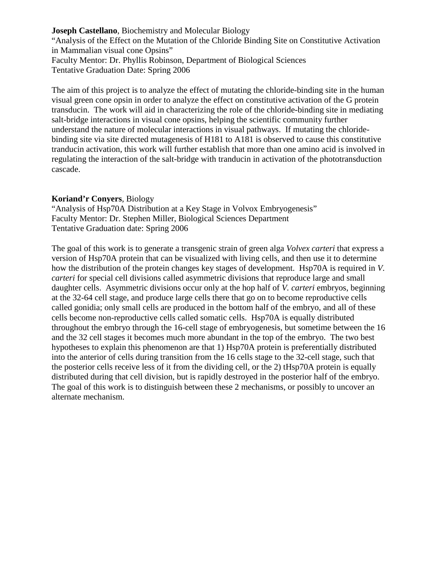**Joseph Castellano**, Biochemistry and Molecular Biology "Analysis of the Effect on the Mutation of the Chloride Binding Site on Constitutive Activation in Mammalian visual cone Opsins" Faculty Mentor: Dr. Phyllis Robinson, Department of Biological Sciences Tentative Graduation Date: Spring 2006

The aim of this project is to analyze the effect of mutating the chloride-binding site in the human visual green cone opsin in order to analyze the effect on constitutive activation of the G protein transducin. The work will aid in characterizing the role of the chloride-binding site in mediating salt-bridge interactions in visual cone opsins, helping the scientific community further understand the nature of molecular interactions in visual pathways. If mutating the chloridebinding site via site directed mutagenesis of H181 to A181 is observed to cause this constitutive tranducin activation, this work will further establish that more than one amino acid is involved in regulating the interaction of the salt-bridge with tranducin in activation of the phototransduction cascade.

## **Koriand'r Conyers**, Biology

"Analysis of Hsp70A Distribution at a Key Stage in Volvox Embryogenesis" Faculty Mentor: Dr. Stephen Miller, Biological Sciences Department Tentative Graduation date: Spring 2006

The goal of this work is to generate a transgenic strain of green alga *Volvex carteri* that express a version of Hsp70A protein that can be visualized with living cells, and then use it to determine how the distribution of the protein changes key stages of development. Hsp70A is required in *V*. *carteri* for special cell divisions called asymmetric divisions that reproduce large and small daughter cells. Asymmetric divisions occur only at the hop half of *V. carteri* embryos, beginning at the 32-64 cell stage, and produce large cells there that go on to become reproductive cells called gonidia; only small cells are produced in the bottom half of the embryo, and all of these cells become non-reproductive cells called somatic cells. Hsp70A is equally distributed throughout the embryo through the 16-cell stage of embryogenesis, but sometime between the 16 and the 32 cell stages it becomes much more abundant in the top of the embryo. The two best hypotheses to explain this phenomenon are that 1) Hsp70A protein is preferentially distributed into the anterior of cells during transition from the 16 cells stage to the 32-cell stage, such that the posterior cells receive less of it from the dividing cell, or the 2) tHsp70A protein is equally distributed during that cell division, but is rapidly destroyed in the posterior half of the embryo. The goal of this work is to distinguish between these 2 mechanisms, or possibly to uncover an alternate mechanism.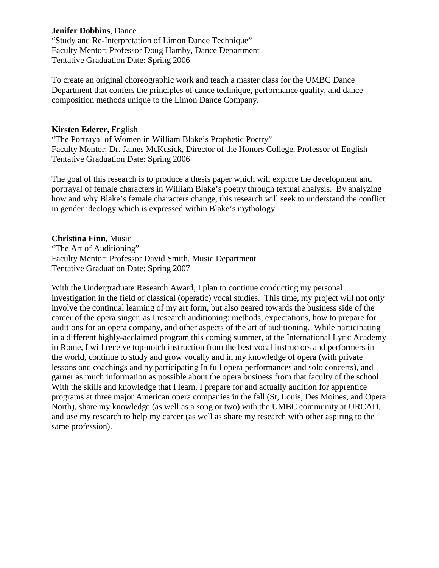#### **Jenifer Dobbins**, Dance

"Study and Re-Interpretation of Limon Dance Technique" Faculty Mentor: Professor Doug Hamby, Dance Department Tentative Graduation Date: Spring 2006

To create an original choreographic work and teach a master class for the UMBC Dance Department that confers the principles of dance technique, performance quality, and dance composition methods unique to the Limon Dance Company.

#### **Kirsten Ederer**, English

"The Portrayal of Women in William Blake's Prophetic Poetry" Faculty Mentor: Dr. James McKusick, Director of the Honors College, Professor of English Tentative Graduation Date: Spring 2006

The goal of this research is to produce a thesis paper which will explore the development and portrayal of female characters in William Blake's poetry through textual analysis. By analyzing how and why Blake's female characters change, this research will seek to understand the conflict in gender ideology which is expressed within Blake's mythology.

## **Christina Finn**, Music

"The Art of Auditioning" Faculty Mentor: Professor David Smith, Music Department Tentative Graduation Date: Spring 2007

With the Undergraduate Research Award, I plan to continue conducting my personal investigation in the field of classical (operatic) vocal studies. This time, my project will not only involve the continual learning of my art form, but also geared towards the business side of the career of the opera singer, as I research auditioning: methods, expectations, how to prepare for auditions for an opera company, and other aspects of the art of auditioning. While participating in a different highly-acclaimed program this coming summer, at the International Lyric Academy in Rome, I will receive top-notch instruction from the best vocal instructors and performers in the world, continue to study and grow vocally and in my knowledge of opera (with private lessons and coachings and by participating In full opera performances and solo concerts), and garner as much information as possible about the opera business from that faculty of the school. With the skills and knowledge that I learn, I prepare for and actually audition for apprentice programs at three major American opera companies in the fall (St, Louis, Des Moines, and Opera North), share my knowledge (as well as a song or two) with the UMBC community at URCAD, and use my research to help my career (as well as share my research with other aspiring to the same profession).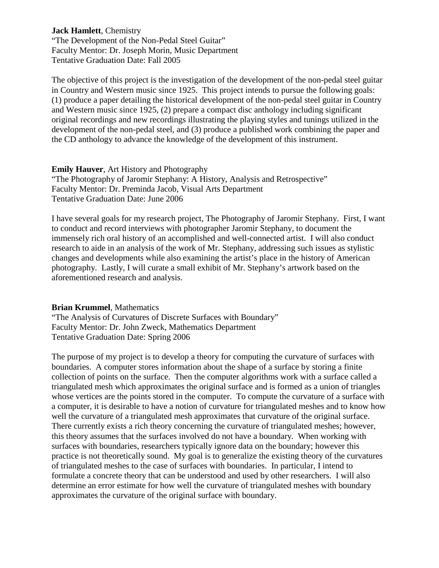**Jack Hamlett**, Chemistry "The Development of the Non-Pedal Steel Guitar" Faculty Mentor: Dr. Joseph Morin, Music Department Tentative Graduation Date: Fall 2005

The objective of this project is the investigation of the development of the non-pedal steel guitar in Country and Western music since 1925. This project intends to pursue the following goals: (1) produce a paper detailing the historical development of the non-pedal steel guitar in Country and Western music since 1925, (2) prepare a compact disc anthology including significant original recordings and new recordings illustrating the playing styles and tunings utilized in the development of the non-pedal steel, and (3) produce a published work combining the paper and the CD anthology to advance the knowledge of the development of this instrument.

**Emily Hauver**, Art History and Photography "The Photography of Jaromir Stephany: A History, Analysis and Retrospective" Faculty Mentor: Dr. Preminda Jacob, Visual Arts Department Tentative Graduation Date: June 2006

I have several goals for my research project, The Photography of Jaromir Stephany. First, I want to conduct and record interviews with photographer Jaromir Stephany, to document the immensely rich oral history of an accomplished and well-connected artist. I will also conduct research to aide in an analysis of the work of Mr. Stephany, addressing such issues as stylistic changes and developments while also examining the artist's place in the history of American photography. Lastly, I will curate a small exhibit of Mr. Stephany's artwork based on the aforementioned research and analysis.

## **Brian Krummel**, Mathematics

"The Analysis of Curvatures of Discrete Surfaces with Boundary" Faculty Mentor: Dr. John Zweck, Mathematics Department Tentative Graduation Date: Spring 2006

The purpose of my project is to develop a theory for computing the curvature of surfaces with boundaries. A computer stores information about the shape of a surface by storing a finite collection of points on the surface. Then the computer algorithms work with a surface called a triangulated mesh which approximates the original surface and is formed as a union of triangles whose vertices are the points stored in the computer. To compute the curvature of a surface with a computer, it is desirable to have a notion of curvature for triangulated meshes and to know how well the curvature of a triangulated mesh approximates that curvature of the original surface. There currently exists a rich theory concerning the curvature of triangulated meshes; however, this theory assumes that the surfaces involved do not have a boundary. When working with surfaces with boundaries, researchers typically ignore data on the boundary; however this practice is not theoretically sound. My goal is to generalize the existing theory of the curvatures of triangulated meshes to the case of surfaces with boundaries. In particular, I intend to formulate a concrete theory that can be understood and used by other researchers. I will also determine an error estimate for how well the curvature of triangulated meshes with boundary approximates the curvature of the original surface with boundary.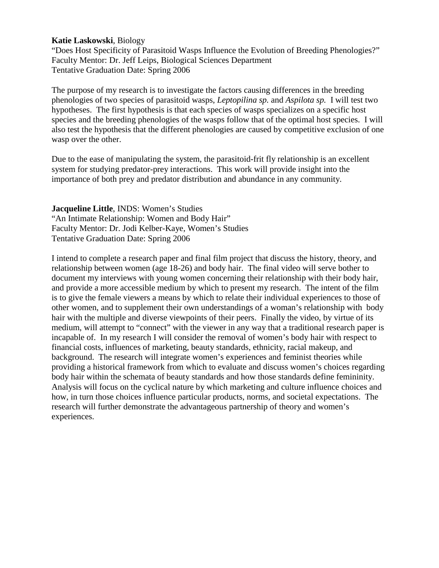#### **Katie Laskowski**, Biology

"Does Host Specificity of Parasitoid Wasps Influence the Evolution of Breeding Phenologies?" Faculty Mentor: Dr. Jeff Leips, Biological Sciences Department Tentative Graduation Date: Spring 2006

The purpose of my research is to investigate the factors causing differences in the breeding phenologies of two species of parasitoid wasps, *Leptopilina sp.* and *Aspilota sp.* I will test two hypotheses. The first hypothesis is that each species of wasps specializes on a specific host species and the breeding phenologies of the wasps follow that of the optimal host species. I will also test the hypothesis that the different phenologies are caused by competitive exclusion of one wasp over the other.

Due to the ease of manipulating the system, the parasitoid-frit fly relationship is an excellent system for studying predator-prey interactions. This work will provide insight into the importance of both prey and predator distribution and abundance in any community.

**Jacqueline Little**, INDS: Women's Studies "An Intimate Relationship: Women and Body Hair" Faculty Mentor: Dr. Jodi Kelber-Kaye, Women's Studies Tentative Graduation Date: Spring 2006

I intend to complete a research paper and final film project that discuss the history, theory, and relationship between women (age 18-26) and body hair. The final video will serve bother to document my interviews with young women concerning their relationship with their body hair, and provide a more accessible medium by which to present my research. The intent of the film is to give the female viewers a means by which to relate their individual experiences to those of other women, and to supplement their own understandings of a woman's relationship with body hair with the multiple and diverse viewpoints of their peers. Finally the video, by virtue of its medium, will attempt to "connect" with the viewer in any way that a traditional research paper is incapable of. In my research I will consider the removal of women's body hair with respect to financial costs, influences of marketing, beauty standards, ethnicity, racial makeup, and background. The research will integrate women's experiences and feminist theories while providing a historical framework from which to evaluate and discuss women's choices regarding body hair within the schemata of beauty standards and how those standards define femininity. Analysis will focus on the cyclical nature by which marketing and culture influence choices and how, in turn those choices influence particular products, norms, and societal expectations. The research will further demonstrate the advantageous partnership of theory and women's experiences.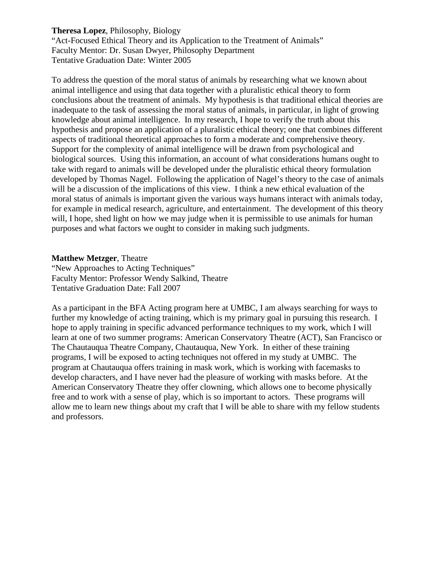## **Theresa Lopez**, Philosophy, Biology

"Act-Focused Ethical Theory and its Application to the Treatment of Animals" Faculty Mentor: Dr. Susan Dwyer, Philosophy Department Tentative Graduation Date: Winter 2005

To address the question of the moral status of animals by researching what we known about animal intelligence and using that data together with a pluralistic ethical theory to form conclusions about the treatment of animals. My hypothesis is that traditional ethical theories are inadequate to the task of assessing the moral status of animals, in particular, in light of growing knowledge about animal intelligence. In my research, I hope to verify the truth about this hypothesis and propose an application of a pluralistic ethical theory; one that combines different aspects of traditional theoretical approaches to form a moderate and comprehensive theory. Support for the complexity of animal intelligence will be drawn from psychological and biological sources. Using this information, an account of what considerations humans ought to take with regard to animals will be developed under the pluralistic ethical theory formulation developed by Thomas Nagel. Following the application of Nagel's theory to the case of animals will be a discussion of the implications of this view. I think a new ethical evaluation of the moral status of animals is important given the various ways humans interact with animals today, for example in medical research, agriculture, and entertainment. The development of this theory will, I hope, shed light on how we may judge when it is permissible to use animals for human purposes and what factors we ought to consider in making such judgments.

#### **Matthew Metzger**, Theatre

"New Approaches to Acting Techniques" Faculty Mentor: Professor Wendy Salkind, Theatre Tentative Graduation Date: Fall 2007

As a participant in the BFA Acting program here at UMBC, I am always searching for ways to further my knowledge of acting training, which is my primary goal in pursuing this research. I hope to apply training in specific advanced performance techniques to my work, which I will learn at one of two summer programs: American Conservatory Theatre (ACT), San Francisco or The Chautauqua Theatre Company, Chautauqua, New York. In either of these training programs, I will be exposed to acting techniques not offered in my study at UMBC. The program at Chautauqua offers training in mask work, which is working with facemasks to develop characters, and I have never had the pleasure of working with masks before. At the American Conservatory Theatre they offer clowning, which allows one to become physically free and to work with a sense of play, which is so important to actors. These programs will allow me to learn new things about my craft that I will be able to share with my fellow students and professors.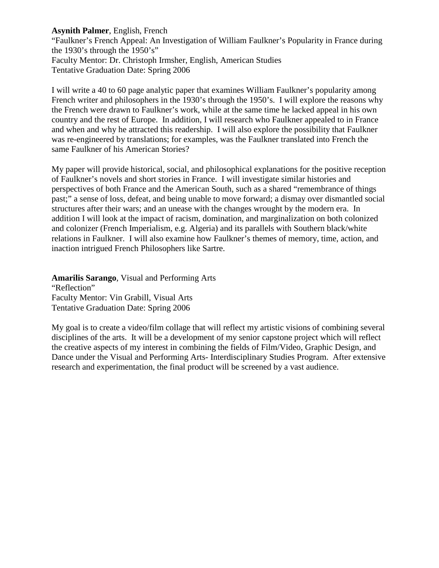# **Asynith Palmer**, English, French

"Faulkner's French Appeal: An Investigation of William Faulkner's Popularity in France during the 1930's through the 1950's" Faculty Mentor: Dr. Christoph Irmsher, English, American Studies Tentative Graduation Date: Spring 2006

I will write a 40 to 60 page analytic paper that examines William Faulkner's popularity among French writer and philosophers in the 1930's through the 1950's. I will explore the reasons why the French were drawn to Faulkner's work, while at the same time he lacked appeal in his own country and the rest of Europe. In addition, I will research who Faulkner appealed to in France and when and why he attracted this readership. I will also explore the possibility that Faulkner was re-engineered by translations; for examples, was the Faulkner translated into French the same Faulkner of his American Stories?

My paper will provide historical, social, and philosophical explanations for the positive reception of Faulkner's novels and short stories in France. I will investigate similar histories and perspectives of both France and the American South, such as a shared "remembrance of things past;" a sense of loss, defeat, and being unable to move forward; a dismay over dismantled social structures after their wars; and an unease with the changes wrought by the modern era. In addition I will look at the impact of racism, domination, and marginalization on both colonized and colonizer (French Imperialism, e.g. Algeria) and its parallels with Southern black/white relations in Faulkner. I will also examine how Faulkner's themes of memory, time, action, and inaction intrigued French Philosophers like Sartre.

**Amarilis Sarango**, Visual and Performing Arts "Reflection" Faculty Mentor: Vin Grabill, Visual Arts Tentative Graduation Date: Spring 2006

My goal is to create a video/film collage that will reflect my artistic visions of combining several disciplines of the arts. It will be a development of my senior capstone project which will reflect the creative aspects of my interest in combining the fields of Film/Video, Graphic Design, and Dance under the Visual and Performing Arts- Interdisciplinary Studies Program. After extensive research and experimentation, the final product will be screened by a vast audience.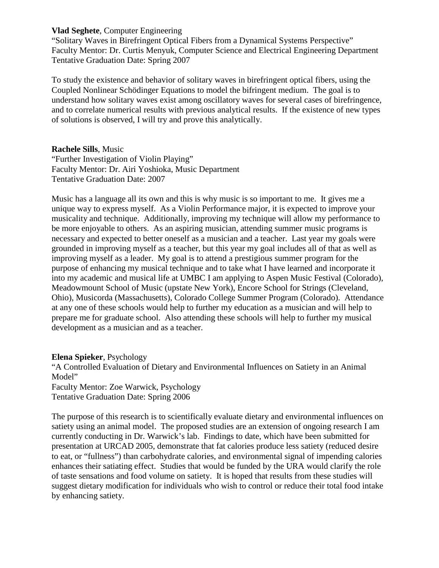# **Vlad Seghete**, Computer Engineering

"Solitary Waves in Birefringent Optical Fibers from a Dynamical Systems Perspective" Faculty Mentor: Dr. Curtis Menyuk, Computer Science and Electrical Engineering Department Tentative Graduation Date: Spring 2007

To study the existence and behavior of solitary waves in birefringent optical fibers, using the Coupled Nonlinear Schödinger Equations to model the bifringent medium. The goal is to understand how solitary waves exist among oscillatory waves for several cases of birefringence, and to correlate numerical results with previous analytical results. If the existence of new types of solutions is observed, I will try and prove this analytically.

# **Rachele Sills**, Music

"Further Investigation of Violin Playing" Faculty Mentor: Dr. Airi Yoshioka, Music Department Tentative Graduation Date: 2007

Music has a language all its own and this is why music is so important to me. It gives me a unique way to express myself. As a Violin Performance major, it is expected to improve your musicality and technique. Additionally, improving my technique will allow my performance to be more enjoyable to others. As an aspiring musician, attending summer music programs is necessary and expected to better oneself as a musician and a teacher. Last year my goals were grounded in improving myself as a teacher, but this year my goal includes all of that as well as improving myself as a leader. My goal is to attend a prestigious summer program for the purpose of enhancing my musical technique and to take what I have learned and incorporate it into my academic and musical life at UMBC I am applying to Aspen Music Festival (Colorado), Meadowmount School of Music (upstate New York), Encore School for Strings (Cleveland, Ohio), Musicorda (Massachusetts), Colorado College Summer Program (Colorado). Attendance at any one of these schools would help to further my education as a musician and will help to prepare me for graduate school. Also attending these schools will help to further my musical development as a musician and as a teacher.

# **Elena Spieker**, Psychology

"A Controlled Evaluation of Dietary and Environmental Influences on Satiety in an Animal Model" Faculty Mentor: Zoe Warwick, Psychology Tentative Graduation Date: Spring 2006

The purpose of this research is to scientifically evaluate dietary and environmental influences on satiety using an animal model. The proposed studies are an extension of ongoing research I am currently conducting in Dr. Warwick's lab. Findings to date, which have been submitted for presentation at URCAD 2005, demonstrate that fat calories produce less satiety (reduced desire to eat, or "fullness") than carbohydrate calories, and environmental signal of impending calories enhances their satiating effect. Studies that would be funded by the URA would clarify the role of taste sensations and food volume on satiety. It is hoped that results from these studies will suggest dietary modification for individuals who wish to control or reduce their total food intake by enhancing satiety.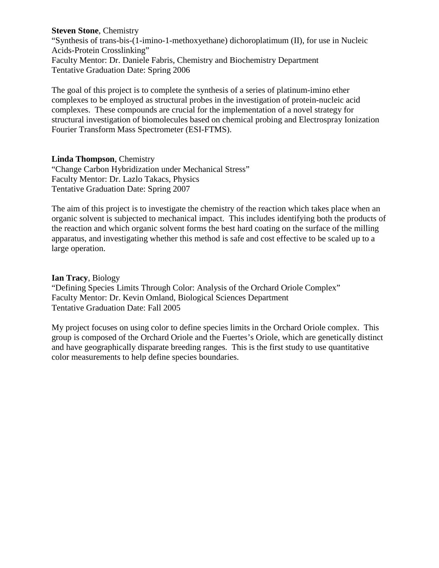**Steven Stone**, Chemistry "Synthesis of trans-bis-(1-imino-1-methoxyethane) dichoroplatimum (II), for use in Nucleic Acids-Protein Crosslinking" Faculty Mentor: Dr. Daniele Fabris, Chemistry and Biochemistry Department Tentative Graduation Date: Spring 2006

The goal of this project is to complete the synthesis of a series of platinum-imino ether complexes to be employed as structural probes in the investigation of protein-nucleic acid complexes. These compounds are crucial for the implementation of a novel strategy for structural investigation of biomolecules based on chemical probing and Electrospray Ionization Fourier Transform Mass Spectrometer (ESI-FTMS).

## **Linda Thompson**, Chemistry

"Change Carbon Hybridization under Mechanical Stress" Faculty Mentor: Dr. Lazlo Takacs, Physics Tentative Graduation Date: Spring 2007

The aim of this project is to investigate the chemistry of the reaction which takes place when an organic solvent is subjected to mechanical impact. This includes identifying both the products of the reaction and which organic solvent forms the best hard coating on the surface of the milling apparatus, and investigating whether this method is safe and cost effective to be scaled up to a large operation.

## **Ian Tracy**, Biology

"Defining Species Limits Through Color: Analysis of the Orchard Oriole Complex" Faculty Mentor: Dr. Kevin Omland, Biological Sciences Department Tentative Graduation Date: Fall 2005

My project focuses on using color to define species limits in the Orchard Oriole complex. This group is composed of the Orchard Oriole and the Fuertes's Oriole, which are genetically distinct and have geographically disparate breeding ranges. This is the first study to use quantitative color measurements to help define species boundaries.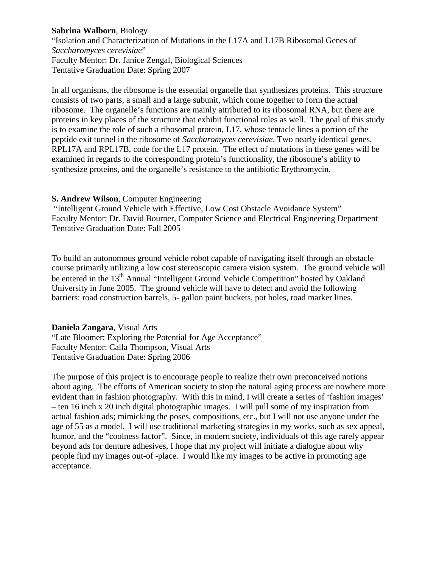# **Sabrina Walborn**, Biology

"Isolation and Characterization of Mutations in the L17A and L17B Ribosomal Genes of *Saccharomyces cerevisiae*" Faculty Mentor: Dr. Janice Zengal, Biological Sciences Tentative Graduation Date: Spring 2007

In all organisms, the ribosome is the essential organelle that synthesizes proteins. This structure consists of two parts, a small and a large subunit, which come together to form the actual ribosome. The organelle's functions are mainly attributed to its ribosomal RNA, but there are proteins in key places of the structure that exhibit functional roles as well. The goal of this study is to examine the role of such a ribosomal protein, L17, whose tentacle lines a portion of the peptide exit tunnel in the ribosome of *Saccharomyces cerevisiae*. Two nearly identical genes, RPL17A and RPL17B, code for the L17 protein. The effect of mutations in these genes will be examined in regards to the corresponding protein's functionality, the ribosome's ability to synthesize proteins, and the organelle's resistance to the antibiotic Erythromycin.

# **S. Andrew Wilson**, Computer Engineering

"Intelligent Ground Vehicle with Effective, Low Cost Obstacle Avoidance System" Faculty Mentor: Dr. David Bourner, Computer Science and Electrical Engineering Department Tentative Graduation Date: Fall 2005

To build an autonomous ground vehicle robot capable of navigating itself through an obstacle course primarily utilizing a low cost stereoscopic camera vision system. The ground vehicle will be entered in the 13<sup>th</sup> Annual "Intelligent Ground Vehicle Competition" hosted by Oakland University in June 2005. The ground vehicle will have to detect and avoid the following barriers: road construction barrels, 5- gallon paint buckets, pot holes, road marker lines.

# **Daniela Zangara**, Visual Arts

"Late Bloomer: Exploring the Potential for Age Acceptance" Faculty Mentor: Calla Thompson, Visual Arts Tentative Graduation Date: Spring 2006

The purpose of this project is to encourage people to realize their own preconceived notions about aging. The efforts of American society to stop the natural aging process are nowhere more evident than in fashion photography. With this in mind, I will create a series of 'fashion images' – ten 16 inch x 20 inch digital photographic images. I will pull some of my inspiration from actual fashion ads; mimicking the poses, compositions, etc., but I will not use anyone under the age of 55 as a model. I will use traditional marketing strategies in my works, such as sex appeal, humor, and the "coolness factor". Since, in modern society, individuals of this age rarely appear beyond ads for denture adhesives, I hope that my project will initiate a dialogue about why people find my images out-of -place. I would like my images to be active in promoting age acceptance.